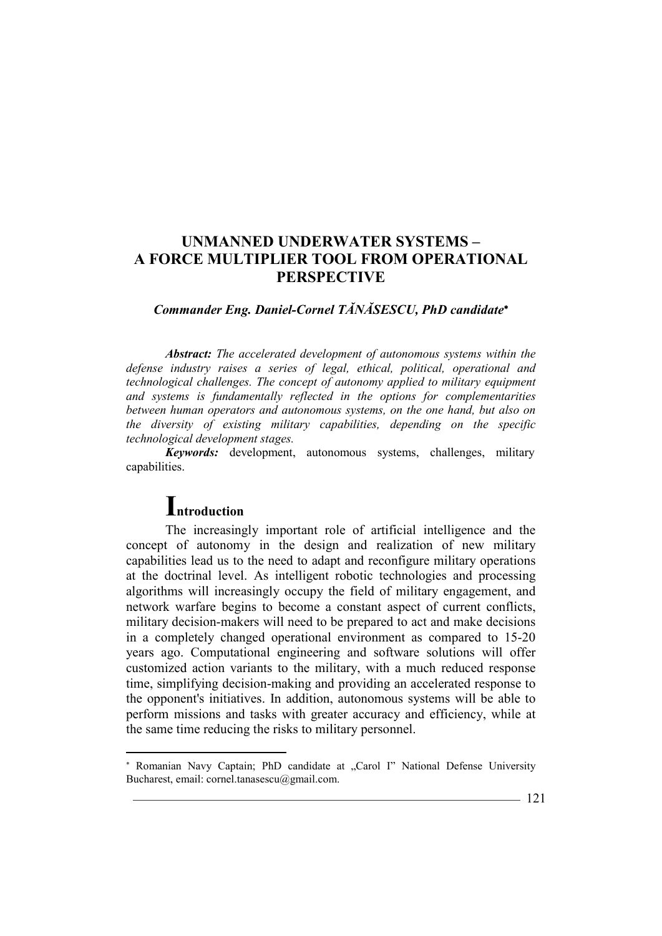## *Commander Eng. Daniel-Cornel TĂNĂSESCU, PhD candidate*

*Abstract: The accelerated development of autonomous systems within the defense industry raises a series of legal, ethical, political, operational and technological challenges. The concept of autonomy applied to military equipment and systems is fundamentally reflected in the options for complementarities between human operators and autonomous systems, on the one hand, but also on the diversity of existing military capabilities, depending on the specific technological development stages.* 

*Keywords:* development, autonomous systems, challenges, military capabilities.

# **Introduction**

l

The increasingly important role of artificial intelligence and the concept of autonomy in the design and realization of new military capabilities lead us to the need to adapt and reconfigure military operations at the doctrinal level. As intelligent robotic technologies and processing algorithms will increasingly occupy the field of military engagement, and network warfare begins to become a constant aspect of current conflicts, military decision-makers will need to be prepared to act and make decisions in a completely changed operational environment as compared to 15-20 years ago. Computational engineering and software solutions will offer customized action variants to the military, with a much reduced response time, simplifying decision-making and providing an accelerated response to the opponent's initiatives. In addition, autonomous systems will be able to perform missions and tasks with greater accuracy and efficiency, while at the same time reducing the risks to military personnel.

<sup>\*</sup> Romanian Navy Captain; PhD candidate at "Carol I" National Defense University Bucharest, email: cornel.tanasescu@gmail.com.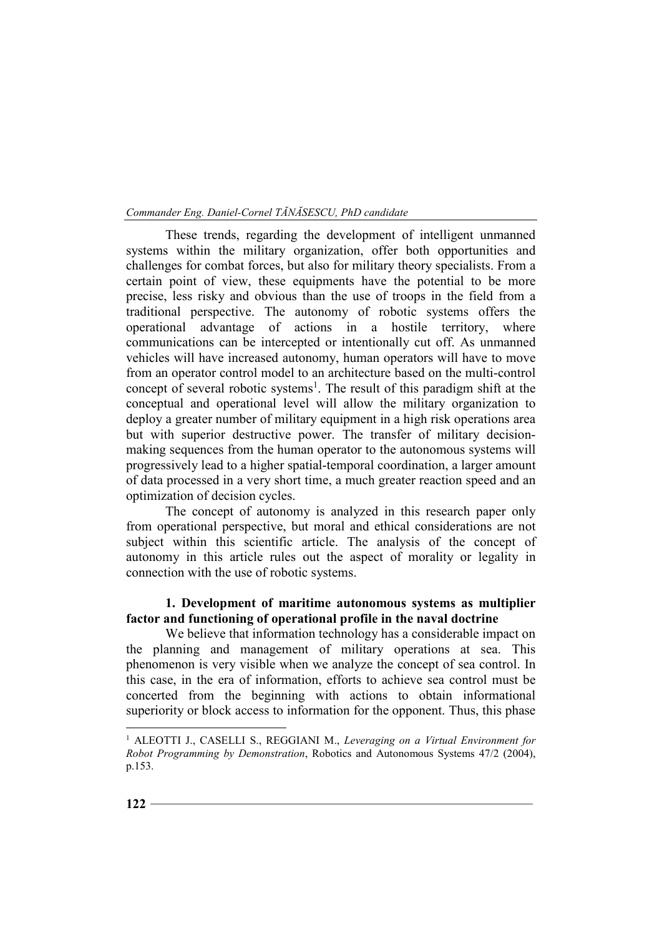These trends, regarding the development of intelligent unmanned systems within the military organization, offer both opportunities and challenges for combat forces, but also for military theory specialists. From a certain point of view, these equipments have the potential to be more precise, less risky and obvious than the use of troops in the field from a traditional perspective. The autonomy of robotic systems offers the operational advantage of actions in a hostile territory, where communications can be intercepted or intentionally cut off. As unmanned vehicles will have increased autonomy, human operators will have to move from an operator control model to an architecture based on the multi-control concept of several robotic systems<sup>1</sup>. The result of this paradigm shift at the conceptual and operational level will allow the military organization to deploy a greater number of military equipment in a high risk operations area but with superior destructive power. The transfer of military decisionmaking sequences from the human operator to the autonomous systems will progressively lead to a higher spatial-temporal coordination, a larger amount of data processed in a very short time, a much greater reaction speed and an optimization of decision cycles.

The concept of autonomy is analyzed in this research paper only from operational perspective, but moral and ethical considerations are not subject within this scientific article. The analysis of the concept of autonomy in this article rules out the aspect of morality or legality in connection with the use of robotic systems.

## **1. Development of maritime autonomous systems as multiplier factor and functioning of operational profile in the naval doctrine**

We believe that information technology has a considerable impact on the planning and management of military operations at sea. This phenomenon is very visible when we analyze the concept of sea control. In this case, in the era of information, efforts to achieve sea control must be concerted from the beginning with actions to obtain informational superiority or block access to information for the opponent. Thus, this phase

<sup>&</sup>lt;sup>1</sup> ALEOTTI J., CASELLI S., REGGIANI M., *Leveraging on a Virtual Environment for Robot Programming by Demonstration*, Robotics and Autonomous Systems 47/2 (2004), p.153.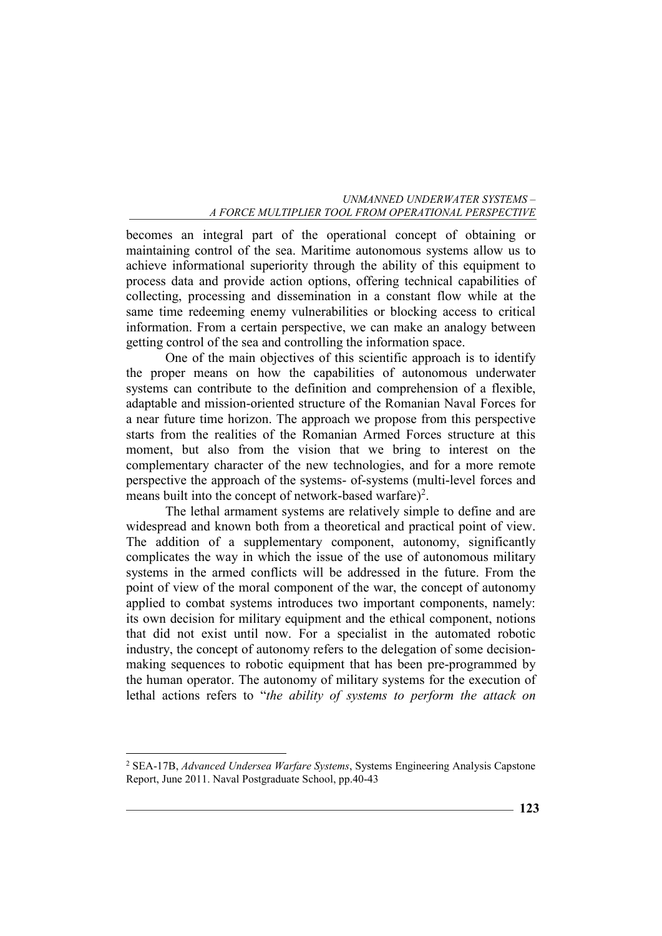becomes an integral part of the operational concept of obtaining or maintaining control of the sea. Maritime autonomous systems allow us to achieve informational superiority through the ability of this equipment to process data and provide action options, offering technical capabilities of collecting, processing and dissemination in a constant flow while at the same time redeeming enemy vulnerabilities or blocking access to critical information. From a certain perspective, we can make an analogy between getting control of the sea and controlling the information space.

One of the main objectives of this scientific approach is to identify the proper means on how the capabilities of autonomous underwater systems can contribute to the definition and comprehension of a flexible, adaptable and mission-oriented structure of the Romanian Naval Forces for a near future time horizon. The approach we propose from this perspective starts from the realities of the Romanian Armed Forces structure at this moment, but also from the vision that we bring to interest on the complementary character of the new technologies, and for a more remote perspective the approach of the systems- of-systems (multi-level forces and means built into the concept of network-based warfare)<sup>2</sup>.

The lethal armament systems are relatively simple to define and are widespread and known both from a theoretical and practical point of view. The addition of a supplementary component, autonomy, significantly complicates the way in which the issue of the use of autonomous military systems in the armed conflicts will be addressed in the future. From the point of view of the moral component of the war, the concept of autonomy applied to combat systems introduces two important components, namely: its own decision for military equipment and the ethical component, notions that did not exist until now. For a specialist in the automated robotic industry, the concept of autonomy refers to the delegation of some decisionmaking sequences to robotic equipment that has been pre-programmed by the human operator. The autonomy of military systems for the execution of lethal actions refers to "*the ability of systems to perform the attack on* 

<sup>2</sup> SEA-17B, *Advanced Undersea Warfare Systems*, Systems Engineering Analysis Capstone Report, June 2011. Naval Postgraduate School, pp.40-43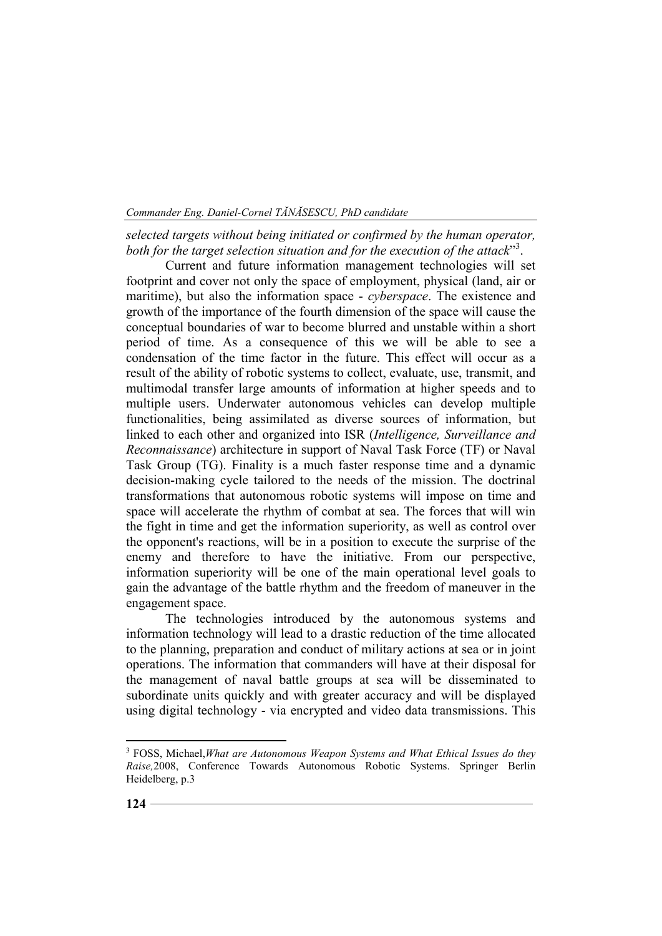*selected targets without being initiated or confirmed by the human operator,*  both for the target selection situation and for the execution of the attack"<sup>3</sup>.

Current and future information management technologies will set footprint and cover not only the space of employment, physical (land, air or maritime), but also the information space - *cyberspace*. The existence and growth of the importance of the fourth dimension of the space will cause the conceptual boundaries of war to become blurred and unstable within a short period of time. As a consequence of this we will be able to see a condensation of the time factor in the future. This effect will occur as a result of the ability of robotic systems to collect, evaluate, use, transmit, and multimodal transfer large amounts of information at higher speeds and to multiple users. Underwater autonomous vehicles can develop multiple functionalities, being assimilated as diverse sources of information, but linked to each other and organized into ISR (*Intelligence, Surveillance and Reconnaissance*) architecture in support of Naval Task Force (TF) or Naval Task Group (TG). Finality is a much faster response time and a dynamic decision-making cycle tailored to the needs of the mission. The doctrinal transformations that autonomous robotic systems will impose on time and space will accelerate the rhythm of combat at sea. The forces that will win the fight in time and get the information superiority, as well as control over the opponent's reactions, will be in a position to execute the surprise of the enemy and therefore to have the initiative. From our perspective, information superiority will be one of the main operational level goals to gain the advantage of the battle rhythm and the freedom of maneuver in the engagement space.

The technologies introduced by the autonomous systems and information technology will lead to a drastic reduction of the time allocated to the planning, preparation and conduct of military actions at sea or in joint operations. The information that commanders will have at their disposal for the management of naval battle groups at sea will be disseminated to subordinate units quickly and with greater accuracy and will be displayed using digital technology - via encrypted and video data transmissions. This

<sup>3</sup> FOSS, Michael,*What are Autonomous Weapon Systems and What Ethical Issues do they Raise,*2008, Conference Towards Autonomous Robotic Systems. Springer Berlin Heidelberg, p.3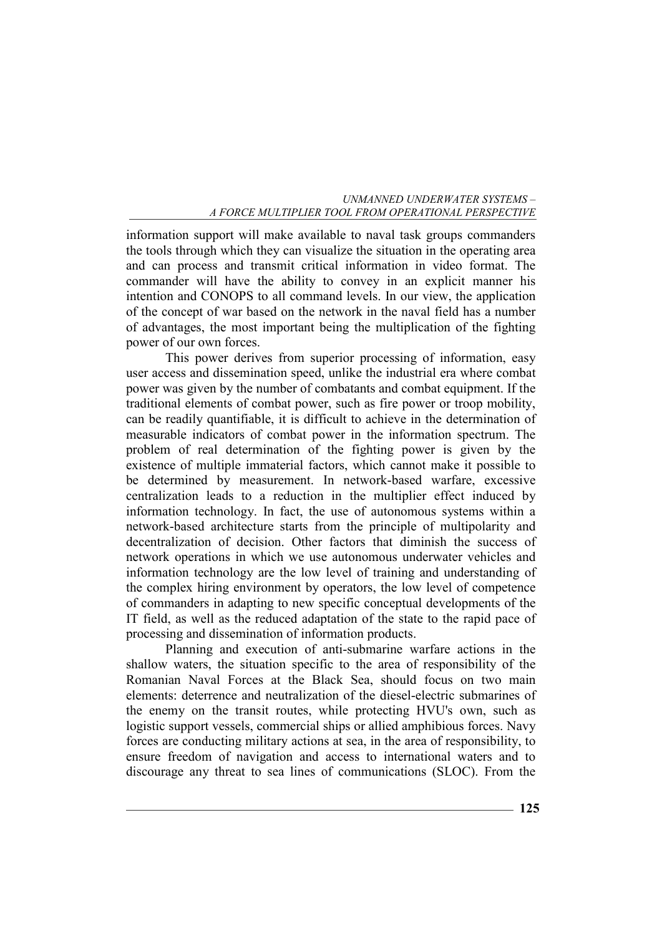information support will make available to naval task groups commanders the tools through which they can visualize the situation in the operating area and can process and transmit critical information in video format. The commander will have the ability to convey in an explicit manner his intention and CONOPS to all command levels. In our view, the application of the concept of war based on the network in the naval field has a number of advantages, the most important being the multiplication of the fighting power of our own forces.

This power derives from superior processing of information, easy user access and dissemination speed, unlike the industrial era where combat power was given by the number of combatants and combat equipment. If the traditional elements of combat power, such as fire power or troop mobility, can be readily quantifiable, it is difficult to achieve in the determination of measurable indicators of combat power in the information spectrum. The problem of real determination of the fighting power is given by the existence of multiple immaterial factors, which cannot make it possible to be determined by measurement. In network-based warfare, excessive centralization leads to a reduction in the multiplier effect induced by information technology. In fact, the use of autonomous systems within a network-based architecture starts from the principle of multipolarity and decentralization of decision. Other factors that diminish the success of network operations in which we use autonomous underwater vehicles and information technology are the low level of training and understanding of the complex hiring environment by operators, the low level of competence of commanders in adapting to new specific conceptual developments of the IT field, as well as the reduced adaptation of the state to the rapid pace of processing and dissemination of information products.

Planning and execution of anti-submarine warfare actions in the shallow waters, the situation specific to the area of responsibility of the Romanian Naval Forces at the Black Sea, should focus on two main elements: deterrence and neutralization of the diesel-electric submarines of the enemy on the transit routes, while protecting HVU's own, such as logistic support vessels, commercial ships or allied amphibious forces. Navy forces are conducting military actions at sea, in the area of responsibility, to ensure freedom of navigation and access to international waters and to discourage any threat to sea lines of communications (SLOC). From the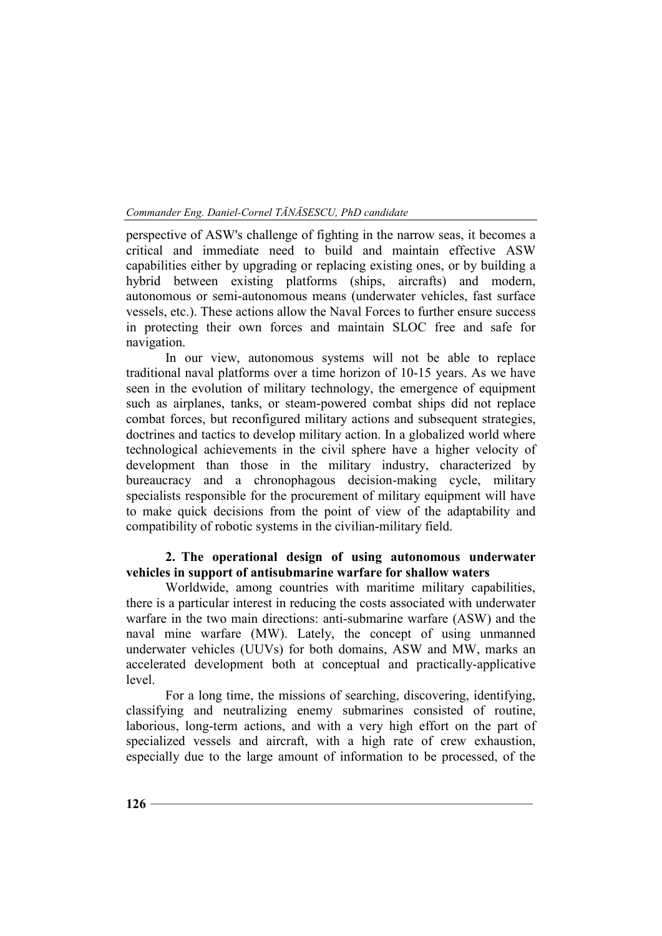perspective of ASW's challenge of fighting in the narrow seas, it becomes a critical and immediate need to build and maintain effective ASW capabilities either by upgrading or replacing existing ones, or by building a hybrid between existing platforms (ships, aircrafts) and modern, autonomous or semi-autonomous means (underwater vehicles, fast surface vessels, etc.). These actions allow the Naval Forces to further ensure success in protecting their own forces and maintain SLOC free and safe for navigation.

In our view, autonomous systems will not be able to replace traditional naval platforms over a time horizon of 10-15 years. As we have seen in the evolution of military technology, the emergence of equipment such as airplanes, tanks, or steam-powered combat ships did not replace combat forces, but reconfigured military actions and subsequent strategies, doctrines and tactics to develop military action. In a globalized world where technological achievements in the civil sphere have a higher velocity of development than those in the military industry, characterized by bureaucracy and a chronophagous decision-making cycle, military specialists responsible for the procurement of military equipment will have to make quick decisions from the point of view of the adaptability and compatibility of robotic systems in the civilian-military field.

## **2. The operational design of using autonomous underwater vehicles in support of antisubmarine warfare for shallow waters**

Worldwide, among countries with maritime military capabilities, there is a particular interest in reducing the costs associated with underwater warfare in the two main directions: anti-submarine warfare (ASW) and the naval mine warfare (MW). Lately, the concept of using unmanned underwater vehicles (UUVs) for both domains, ASW and MW, marks an accelerated development both at conceptual and practically-applicative level.

For a long time, the missions of searching, discovering, identifying, classifying and neutralizing enemy submarines consisted of routine, laborious, long-term actions, and with a very high effort on the part of specialized vessels and aircraft, with a high rate of crew exhaustion, especially due to the large amount of information to be processed, of the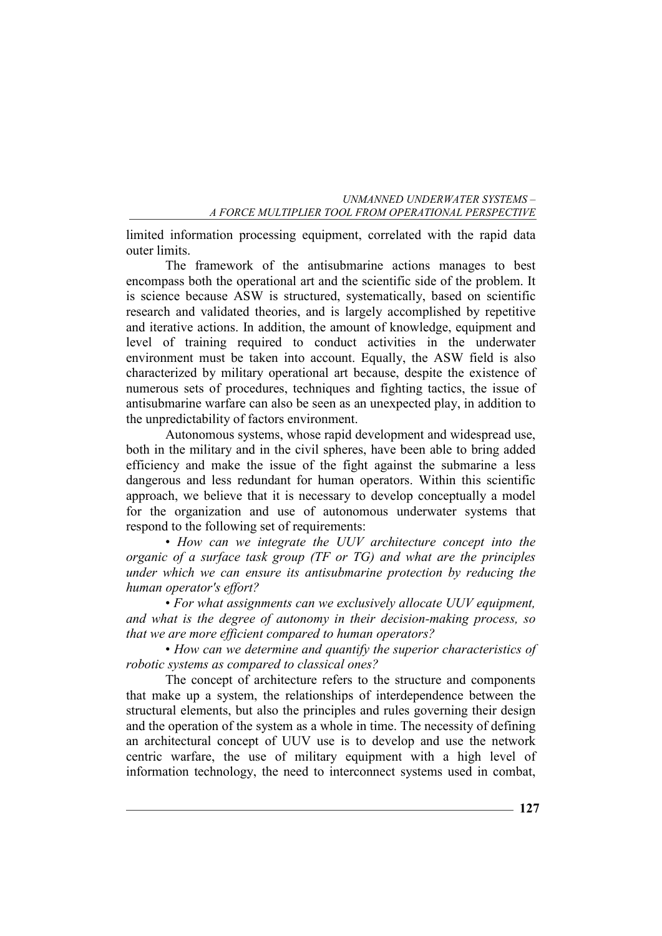limited information processing equipment, correlated with the rapid data outer limits.

The framework of the antisubmarine actions manages to best encompass both the operational art and the scientific side of the problem. It is science because ASW is structured, systematically, based on scientific research and validated theories, and is largely accomplished by repetitive and iterative actions. In addition, the amount of knowledge, equipment and level of training required to conduct activities in the underwater environment must be taken into account. Equally, the ASW field is also characterized by military operational art because, despite the existence of numerous sets of procedures, techniques and fighting tactics, the issue of antisubmarine warfare can also be seen as an unexpected play, in addition to the unpredictability of factors environment.

Autonomous systems, whose rapid development and widespread use, both in the military and in the civil spheres, have been able to bring added efficiency and make the issue of the fight against the submarine a less dangerous and less redundant for human operators. Within this scientific approach, we believe that it is necessary to develop conceptually a model for the organization and use of autonomous underwater systems that respond to the following set of requirements:

• *How can we integrate the UUV architecture concept into the organic of a surface task group (TF or TG) and what are the principles under which we can ensure its antisubmarine protection by reducing the human operator's effort?* 

• *For what assignments can we exclusively allocate UUV equipment, and what is the degree of autonomy in their decision-making process, so that we are more efficient compared to human operators?* 

• *How can we determine and quantify the superior characteristics of robotic systems as compared to classical ones?*

The concept of architecture refers to the structure and components that make up a system, the relationships of interdependence between the structural elements, but also the principles and rules governing their design and the operation of the system as a whole in time. The necessity of defining an architectural concept of UUV use is to develop and use the network centric warfare, the use of military equipment with a high level of information technology, the need to interconnect systems used in combat,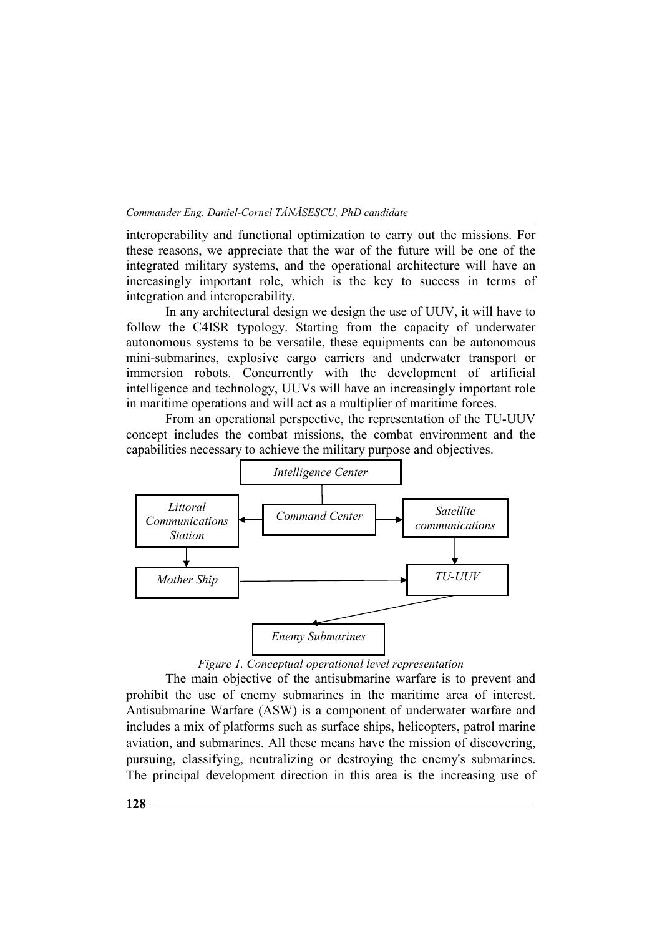*Commander Eng. Daniel-Cornel TĂNĂSESCU, PhD candidate* 

interoperability and functional optimization to carry out the missions. For these reasons, we appreciate that the war of the future will be one of the integrated military systems, and the operational architecture will have an increasingly important role, which is the key to success in terms of integration and interoperability.

In any architectural design we design the use of UUV, it will have to follow the C4ISR typology. Starting from the capacity of underwater autonomous systems to be versatile, these equipments can be autonomous mini-submarines, explosive cargo carriers and underwater transport or immersion robots. Concurrently with the development of artificial intelligence and technology, UUVs will have an increasingly important role in maritime operations and will act as a multiplier of maritime forces.

From an operational perspective, the representation of the TU-UUV concept includes the combat missions, the combat environment and the capabilities necessary to achieve the military purpose and objectives.



## *Figure 1. Conceptual operational level representation*

The main objective of the antisubmarine warfare is to prevent and prohibit the use of enemy submarines in the maritime area of interest. Antisubmarine Warfare (ASW) is a component of underwater warfare and includes a mix of platforms such as surface ships, helicopters, patrol marine aviation, and submarines. All these means have the mission of discovering, pursuing, classifying, neutralizing or destroying the enemy's submarines. The principal development direction in this area is the increasing use of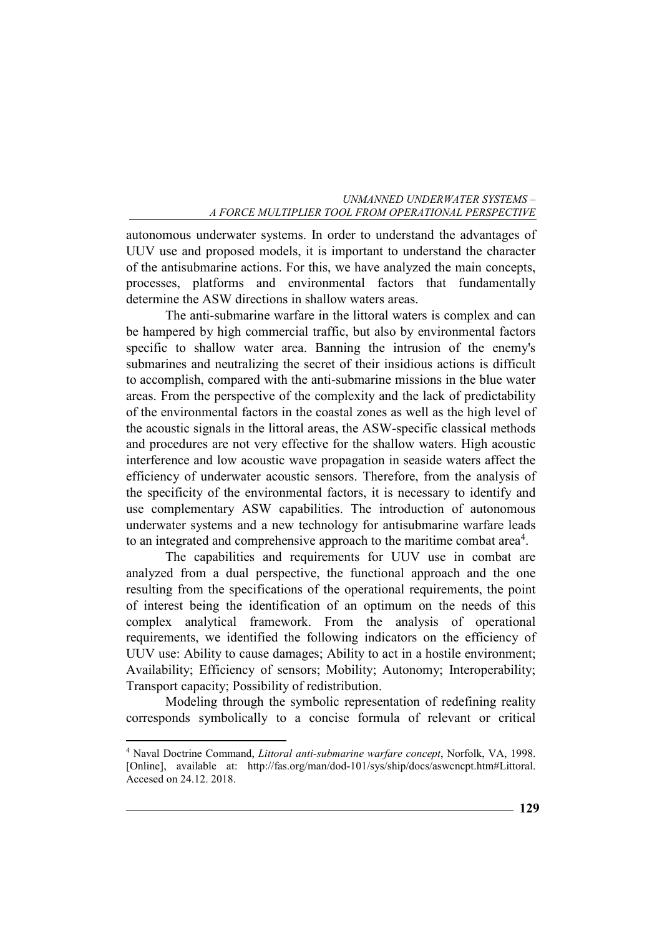autonomous underwater systems. In order to understand the advantages of UUV use and proposed models, it is important to understand the character of the antisubmarine actions. For this, we have analyzed the main concepts, processes, platforms and environmental factors that fundamentally determine the ASW directions in shallow waters areas.

The anti-submarine warfare in the littoral waters is complex and can be hampered by high commercial traffic, but also by environmental factors specific to shallow water area. Banning the intrusion of the enemy's submarines and neutralizing the secret of their insidious actions is difficult to accomplish, compared with the anti-submarine missions in the blue water areas. From the perspective of the complexity and the lack of predictability of the environmental factors in the coastal zones as well as the high level of the acoustic signals in the littoral areas, the ASW-specific classical methods and procedures are not very effective for the shallow waters. High acoustic interference and low acoustic wave propagation in seaside waters affect the efficiency of underwater acoustic sensors. Therefore, from the analysis of the specificity of the environmental factors, it is necessary to identify and use complementary ASW capabilities. The introduction of autonomous underwater systems and a new technology for antisubmarine warfare leads to an integrated and comprehensive approach to the maritime combat area<sup>4</sup>.

The capabilities and requirements for UUV use in combat are analyzed from a dual perspective, the functional approach and the one resulting from the specifications of the operational requirements, the point of interest being the identification of an optimum on the needs of this complex analytical framework. From the analysis of operational requirements, we identified the following indicators on the efficiency of UUV use: Ability to cause damages; Ability to act in a hostile environment; Availability; Efficiency of sensors; Mobility; Autonomy; Interoperability; Transport capacity; Possibility of redistribution.

Modeling through the symbolic representation of redefining reality corresponds symbolically to a concise formula of relevant or critical

<sup>4</sup> Naval Doctrine Command, *Littoral anti-submarine warfare concept*, Norfolk, VA, 1998. [Online], available at: http://fas.org/man/dod-101/sys/ship/docs/aswcncpt.htm#Littoral. Accesed on 24.12. 2018.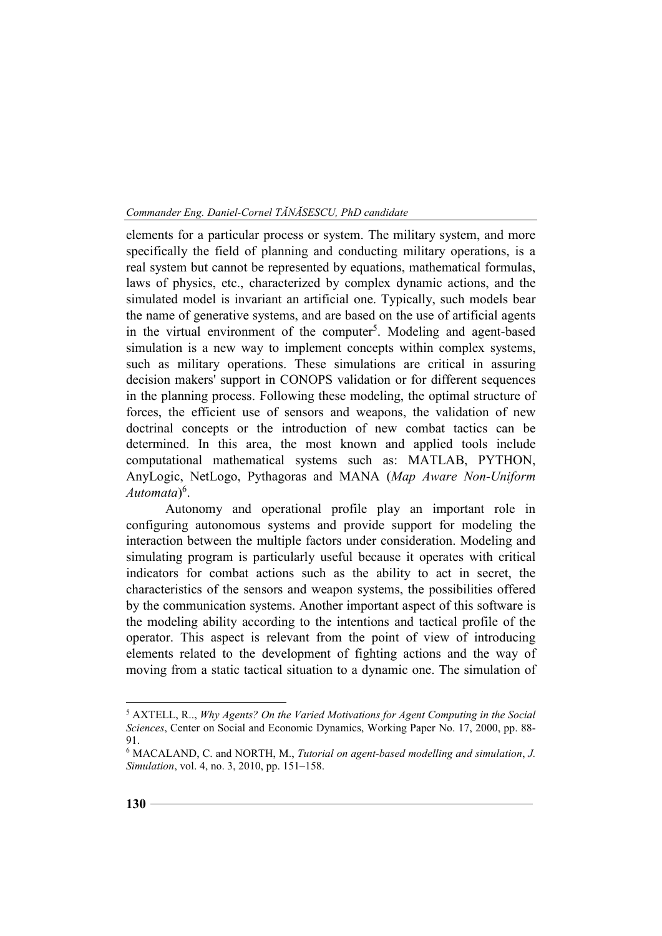elements for a particular process or system. The military system, and more specifically the field of planning and conducting military operations, is a real system but cannot be represented by equations, mathematical formulas, laws of physics, etc., characterized by complex dynamic actions, and the simulated model is invariant an artificial one. Typically, such models bear the name of generative systems, and are based on the use of artificial agents in the virtual environment of the computer<sup>5</sup>. Modeling and agent-based simulation is a new way to implement concepts within complex systems, such as military operations. These simulations are critical in assuring decision makers' support in CONOPS validation or for different sequences in the planning process. Following these modeling, the optimal structure of forces, the efficient use of sensors and weapons, the validation of new doctrinal concepts or the introduction of new combat tactics can be determined. In this area, the most known and applied tools include computational mathematical systems such as: MATLAB, PYTHON, AnyLogic, NetLogo, Pythagoras and MANA (*Map Aware Non-Uniform Automata*) 6 .

Autonomy and operational profile play an important role in configuring autonomous systems and provide support for modeling the interaction between the multiple factors under consideration. Modeling and simulating program is particularly useful because it operates with critical indicators for combat actions such as the ability to act in secret, the characteristics of the sensors and weapon systems, the possibilities offered by the communication systems. Another important aspect of this software is the modeling ability according to the intentions and tactical profile of the operator. This aspect is relevant from the point of view of introducing elements related to the development of fighting actions and the way of moving from a static tactical situation to a dynamic one. The simulation of

<sup>5</sup> AXTELL, R.., *Why Agents? On the Varied Motivations for Agent Computing in the Social Sciences*, Center on Social and Economic Dynamics, Working Paper No. 17, 2000, pp. 88- 91.

<sup>6</sup> MACALAND, C. and NORTH, M., *Tutorial on agent-based modelling and simulation*, *J. Simulation*, vol. 4, no. 3, 2010, pp. 151–158.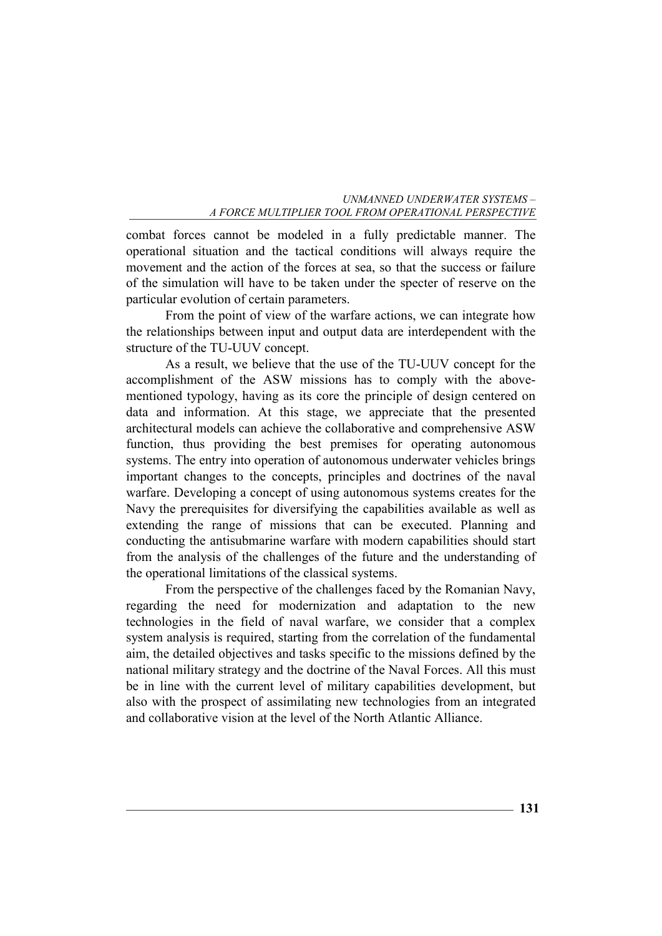combat forces cannot be modeled in a fully predictable manner. The operational situation and the tactical conditions will always require the movement and the action of the forces at sea, so that the success or failure of the simulation will have to be taken under the specter of reserve on the particular evolution of certain parameters.

From the point of view of the warfare actions, we can integrate how the relationships between input and output data are interdependent with the structure of the TU-UUV concept.

As a result, we believe that the use of the TU-UUV concept for the accomplishment of the ASW missions has to comply with the abovementioned typology, having as its core the principle of design centered on data and information. At this stage, we appreciate that the presented architectural models can achieve the collaborative and comprehensive ASW function, thus providing the best premises for operating autonomous systems. The entry into operation of autonomous underwater vehicles brings important changes to the concepts, principles and doctrines of the naval warfare. Developing a concept of using autonomous systems creates for the Navy the prerequisites for diversifying the capabilities available as well as extending the range of missions that can be executed. Planning and conducting the antisubmarine warfare with modern capabilities should start from the analysis of the challenges of the future and the understanding of the operational limitations of the classical systems.

From the perspective of the challenges faced by the Romanian Navy, regarding the need for modernization and adaptation to the new technologies in the field of naval warfare, we consider that a complex system analysis is required, starting from the correlation of the fundamental aim, the detailed objectives and tasks specific to the missions defined by the national military strategy and the doctrine of the Naval Forces. All this must be in line with the current level of military capabilities development, but also with the prospect of assimilating new technologies from an integrated and collaborative vision at the level of the North Atlantic Alliance.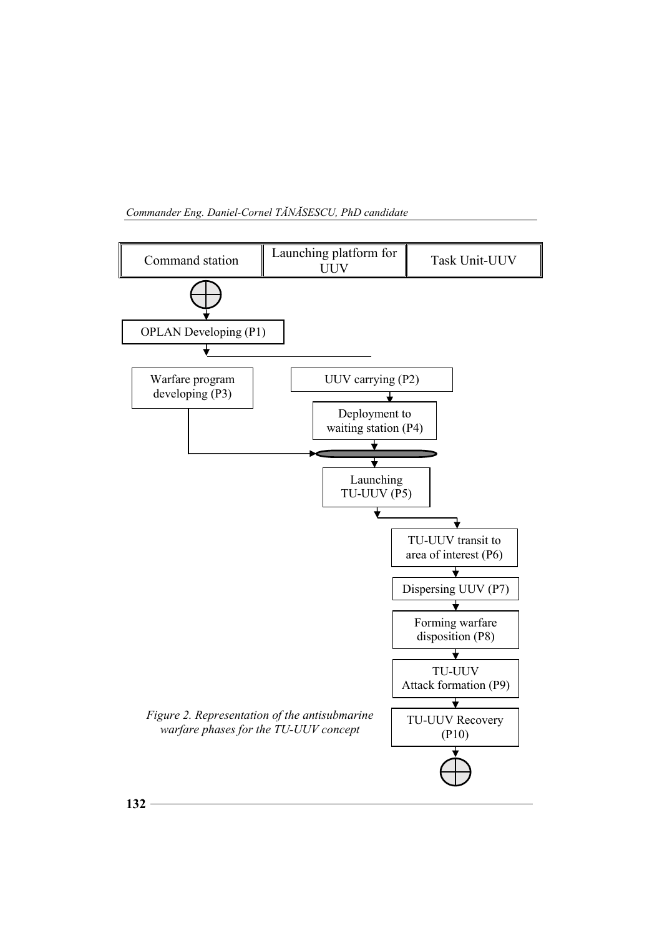

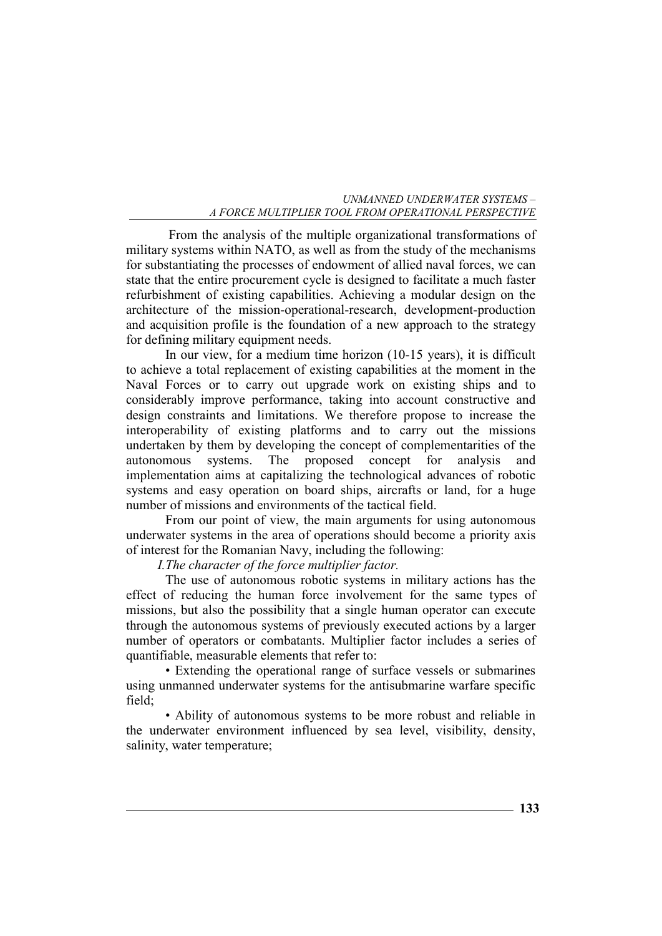From the analysis of the multiple organizational transformations of military systems within NATO, as well as from the study of the mechanisms for substantiating the processes of endowment of allied naval forces, we can state that the entire procurement cycle is designed to facilitate a much faster refurbishment of existing capabilities. Achieving a modular design on the architecture of the mission-operational-research, development-production and acquisition profile is the foundation of a new approach to the strategy for defining military equipment needs.

In our view, for a medium time horizon (10-15 years), it is difficult to achieve a total replacement of existing capabilities at the moment in the Naval Forces or to carry out upgrade work on existing ships and to considerably improve performance, taking into account constructive and design constraints and limitations. We therefore propose to increase the interoperability of existing platforms and to carry out the missions undertaken by them by developing the concept of complementarities of the autonomous systems. The proposed concept for analysis and implementation aims at capitalizing the technological advances of robotic systems and easy operation on board ships, aircrafts or land, for a huge number of missions and environments of the tactical field.

From our point of view, the main arguments for using autonomous underwater systems in the area of operations should become a priority axis of interest for the Romanian Navy, including the following:

*I.The character of the force multiplier factor.* 

The use of autonomous robotic systems in military actions has the effect of reducing the human force involvement for the same types of missions, but also the possibility that a single human operator can execute through the autonomous systems of previously executed actions by a larger number of operators or combatants. Multiplier factor includes a series of quantifiable, measurable elements that refer to:

• Extending the operational range of surface vessels or submarines using unmanned underwater systems for the antisubmarine warfare specific field;

• Ability of autonomous systems to be more robust and reliable in the underwater environment influenced by sea level, visibility, density, salinity, water temperature;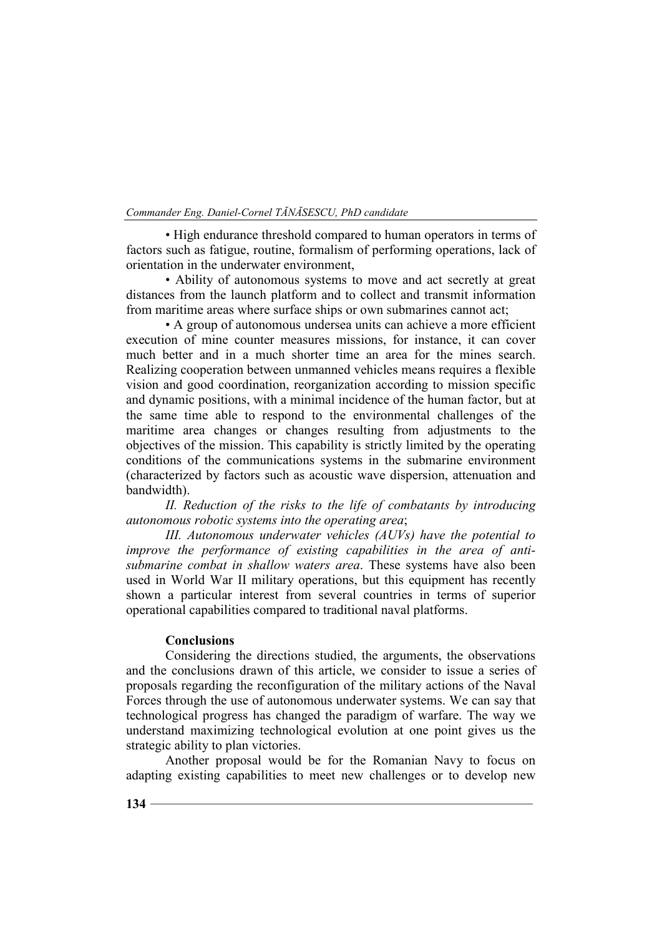• High endurance threshold compared to human operators in terms of factors such as fatigue, routine, formalism of performing operations, lack of orientation in the underwater environment,

• Ability of autonomous systems to move and act secretly at great distances from the launch platform and to collect and transmit information from maritime areas where surface ships or own submarines cannot act;

• A group of autonomous undersea units can achieve a more efficient execution of mine counter measures missions, for instance, it can cover much better and in a much shorter time an area for the mines search. Realizing cooperation between unmanned vehicles means requires a flexible vision and good coordination, reorganization according to mission specific and dynamic positions, with a minimal incidence of the human factor, but at the same time able to respond to the environmental challenges of the maritime area changes or changes resulting from adjustments to the objectives of the mission. This capability is strictly limited by the operating conditions of the communications systems in the submarine environment (characterized by factors such as acoustic wave dispersion, attenuation and bandwidth).

*II. Reduction of the risks to the life of combatants by introducing autonomous robotic systems into the operating area*;

*III. Autonomous underwater vehicles (AUVs) have the potential to improve the performance of existing capabilities in the area of antisubmarine combat in shallow waters area*. These systems have also been used in World War II military operations, but this equipment has recently shown a particular interest from several countries in terms of superior operational capabilities compared to traditional naval platforms.

## **Conclusions**

Considering the directions studied, the arguments, the observations and the conclusions drawn of this article, we consider to issue a series of proposals regarding the reconfiguration of the military actions of the Naval Forces through the use of autonomous underwater systems. We can say that technological progress has changed the paradigm of warfare. The way we understand maximizing technological evolution at one point gives us the strategic ability to plan victories.

Another proposal would be for the Romanian Navy to focus on adapting existing capabilities to meet new challenges or to develop new